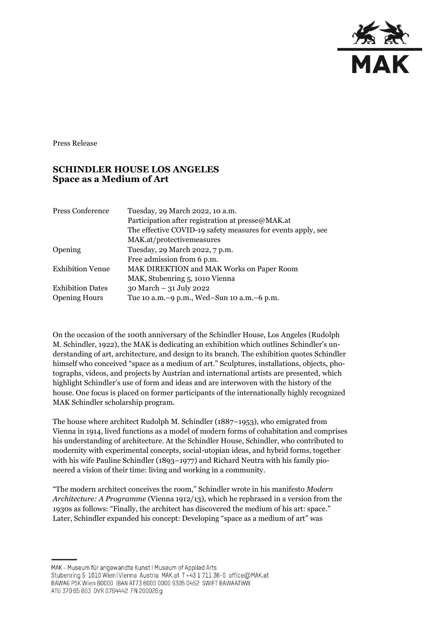

Press Release

## **SCHINDLER HOUSE LOS ANGELES Space as a Medium of Art**

| <b>Press Conference</b> | Tuesday, 29 March 2022, 10 a.m.                              |
|-------------------------|--------------------------------------------------------------|
|                         | Participation after registration at presse@MAK.at            |
|                         | The effective COVID-19 safety measures for events apply, see |
|                         | MAK.at/protectivemeasures                                    |
| Opening                 | Tuesday, 29 March 2022, 7 p.m.                               |
|                         | Free admission from 6 p.m.                                   |
| <b>Exhibition Venue</b> | MAK DIREKTION and MAK Works on Paper Room                    |
|                         | MAK, Stubenring 5, 1010 Vienna                               |
| <b>Exhibition Dates</b> | 30 March - 31 July 2022                                      |
| <b>Opening Hours</b>    | Tue 10 a.m. -9 p.m., Wed-Sun 10 a.m. -6 p.m.                 |

On the occasion of the 100th anniversary of the Schindler House, Los Angeles (Rudolph M. Schindler, 1922), the MAK is dedicating an exhibition which outlines Schindler's understanding of art, architecture, and design to its branch. The exhibition quotes Schindler himself who conceived "space as a medium of art." Sculptures, installations, objects, photographs, videos, and projects by Austrian and international artists are presented, which highlight Schindler's use of form and ideas and are interwoven with the history of the house. One focus is placed on former participants of the internationally highly recognized MAK Schindler scholarship program.

The house where architect Rudolph M. Schindler (1887–1953), who emigrated from Vienna in 1914, lived functions as a model of modern forms of cohabitation and comprises his understanding of architecture. At the Schindler House, Schindler, who contributed to modernity with experimental concepts, social-utopian ideas, and hybrid forms, together with his wife Pauline Schindler (1893–1977) and Richard Neutra with his family pioneered a vision of their time: living and working in a community.

"The modern architect conceives the room," Schindler wrote in his manifesto *Modern Architecture: A Programme* (Vienna 1912/13), which he rephrased in a version from the 1930s as follows: "Finally, the architect has discovered the medium of his art: space." Later, Schindler expanded his concept: Developing "space as a medium of art" was

MAK - Museum für angewandte Kunst | Museum of Applied Arts

ATU 370 65 803 DVR 0764442 FN 200026 g

Stubenring 5 1010 Wien | Vienna Austria MAK.at T+43 1 711 36-0 office@MAK.at

BAWAG PSK Wien 60000 IBAN AT73 6000 0000 9305 0452 SWIFT BAWAATWW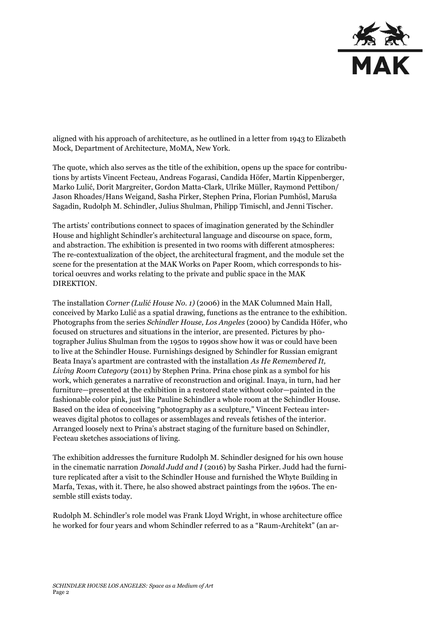

aligned with his approach of architecture, as he outlined in a letter from 1943 to Elizabeth Mock, Department of Architecture, MoMA, New York.

The quote, which also serves as the title of the exhibition, opens up the space for contributions by artists Vincent Fecteau, Andreas Fogarasi, Candida Höfer, Martin Kippenberger, Marko Lulić, Dorit Margreiter, Gordon Matta-Clark, Ulrike Müller, Raymond Pettibon/ Jason Rhoades/Hans Weigand, Sasha Pirker, Stephen Prina, Florian Pumhösl, Maruša Sagadin, Rudolph M. Schindler, Julius Shulman, Philipp Timischl, and Jenni Tischer.

The artists' contributions connect to spaces of imagination generated by the Schindler House and highlight Schindler's architectural language and discourse on space, form, and abstraction. The exhibition is presented in two rooms with different atmospheres: The re-contextualization of the object, the architectural fragment, and the module set the scene for the presentation at the MAK Works on Paper Room, which corresponds to historical oeuvres and works relating to the private and public space in the MAK DIREKTION.

The installation *Corner (Lulić House No. 1)* (2006) in the MAK Columned Main Hall, conceived by Marko Lulić as a spatial drawing, functions as the entrance to the exhibition. Photographs from the series *Schindler House, Los Angeles* (2000) by Candida Höfer, who focused on structures and situations in the interior, are presented. Pictures by photographer Julius Shulman from the 1950s to 1990s show how it was or could have been to live at the Schindler House. Furnishings designed by Schindler for Russian emigrant Beata Inaya's apartment are contrasted with the installation *As He Remembered It, Living Room Category* (2011) by Stephen Prina. Prina chose pink as a symbol for his work, which generates a narrative of reconstruction and original. Inaya, in turn, had her furniture—presented at the exhibition in a restored state without color—painted in the fashionable color pink, just like Pauline Schindler a whole room at the Schindler House. Based on the idea of conceiving "photography as a sculpture," Vincent Fecteau interweaves digital photos to collages or assemblages and reveals fetishes of the interior. Arranged loosely next to Prina's abstract staging of the furniture based on Schindler, Fecteau sketches associations of living.

The exhibition addresses the furniture Rudolph M. Schindler designed for his own house in the cinematic narration *Donald Judd and I* (2016) by Sasha Pirker. Judd had the furniture replicated after a visit to the Schindler House and furnished the Whyte Building in Marfa, Texas, with it. There, he also showed abstract paintings from the 1960s. The ensemble still exists today.

Rudolph M. Schindler's role model was Frank Lloyd Wright, in whose architecture office he worked for four years and whom Schindler referred to as a "Raum-Architekt" (an ar-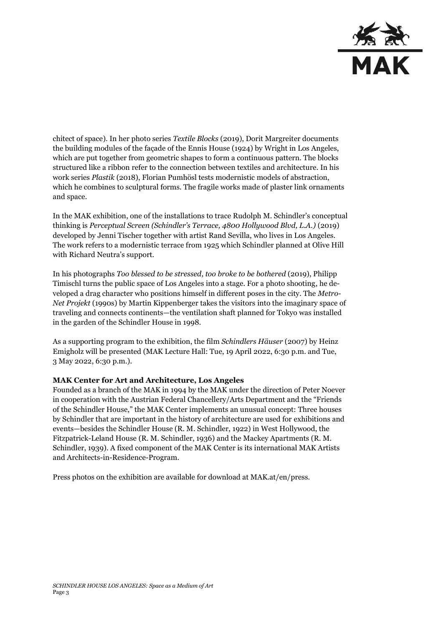

chitect of space). In her photo series *Textile Blocks* (2019), Dorit Margreiter documents the building modules of the façade of the Ennis House (1924) by Wright in Los Angeles, which are put together from geometric shapes to form a continuous pattern. The blocks structured like a ribbon refer to the connection between textiles and architecture. In his work series *Plastik* (2018), Florian Pumhösl tests modernistic models of abstraction, which he combines to sculptural forms. The fragile works made of plaster link ornaments and space.

In the MAK exhibition, one of the installations to trace Rudolph M. Schindler's conceptual thinking is *Perceptual Screen (Schindler's Terrace, 4800 Hollywood Blvd, L.A.)* (2019) developed by Jenni Tischer together with artist Rand Sevilla, who lives in Los Angeles. The work refers to a modernistic terrace from 1925 which Schindler planned at Olive Hill with Richard Neutra's support.

In his photographs *Too blessed to be stressed, too broke to be bothered* (2019), Philipp Timischl turns the public space of Los Angeles into a stage. For a photo shooting, he developed a drag character who positions himself in different poses in the city. The *Metro-Net Projekt* (1990s) by Martin Kippenberger takes the visitors into the imaginary space of traveling and connects continents—the ventilation shaft planned for Tokyo was installed in the garden of the Schindler House in 1998.

As a supporting program to the exhibition, the film *Schindlers Häuser* (2007) by Heinz Emigholz will be presented (MAK Lecture Hall: Tue, 19 April 2022, 6:30 p.m. and Tue, 3 May 2022, 6:30 p.m.).

## **MAK Center for Art and Architecture, Los Angeles**

Founded as a branch of the MAK in 1994 by the MAK under the direction of Peter Noever in cooperation with the Austrian Federal Chancellery/Arts Department and the "Friends of the Schindler House," the MAK Center implements an unusual concept: Three houses by Schindler that are important in the history of architecture are used for exhibitions and events—besides the Schindler House (R. M. Schindler, 1922) in West Hollywood, the [Fitzpatrick-Leland House](https://www.mak.at/jart/prj3/mak-resp/main.jart?content-id=1342703971380&rel=de&j-dummy=reserve&article_id=1339957550738&reserve-mode=active) (R. M. Schindler, 1936) and the [Mackey Apartments](https://www.mak.at/jart/prj3/mak-resp/main.jart?content-id=1342703971380&rel=de&j-dummy=reserve&article_id=1339957550708&reserve-mode=active) (R. M. Schindler, 1939). A fixed component of the MAK Center is its international [MAK Artists](https://www.mak.at/schindlerstipendium)  [and Architects-in-Residence-Program.](https://www.mak.at/schindlerstipendium)

Press photos on the exhibition are available for download at MAK.at/en/press.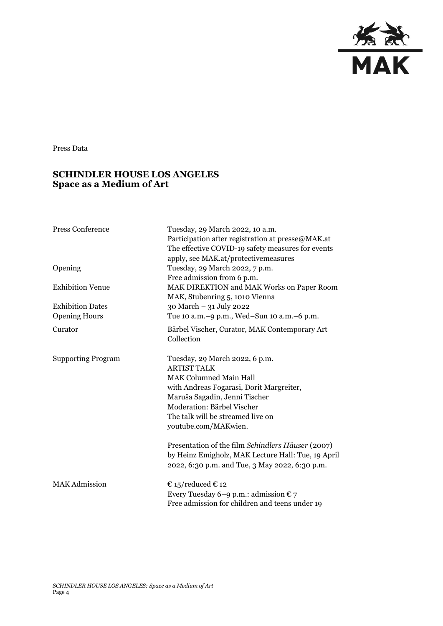

Press Data

## **SCHINDLER HOUSE LOS ANGELES Space as a Medium of Art**

| <b>Press Conference</b>   | Tuesday, 29 March 2022, 10 a.m.<br>Participation after registration at presse@MAK.at<br>The effective COVID-19 safety measures for events<br>apply, see MAK.at/protectivemeasures |
|---------------------------|-----------------------------------------------------------------------------------------------------------------------------------------------------------------------------------|
| Opening                   | Tuesday, 29 March 2022, 7 p.m.<br>Free admission from 6 p.m.                                                                                                                      |
| <b>Exhibition Venue</b>   | MAK DIREKTION and MAK Works on Paper Room<br>MAK, Stubenring 5, 1010 Vienna                                                                                                       |
| <b>Exhibition Dates</b>   | 30 March - 31 July 2022                                                                                                                                                           |
| <b>Opening Hours</b>      | Tue 10 a.m. -9 p.m., Wed-Sun 10 a.m. -6 p.m.                                                                                                                                      |
| Curator                   | Bärbel Vischer, Curator, MAK Contemporary Art<br>Collection                                                                                                                       |
| <b>Supporting Program</b> | Tuesday, 29 March 2022, 6 p.m.<br><b>ARTIST TALK</b><br><b>MAK Columned Main Hall</b>                                                                                             |
|                           | with Andreas Fogarasi, Dorit Margreiter,                                                                                                                                          |
|                           | Maruša Sagadin, Jenni Tischer                                                                                                                                                     |
|                           | Moderation: Bärbel Vischer                                                                                                                                                        |
|                           | The talk will be streamed live on                                                                                                                                                 |
|                           | youtube.com/MAKwien.                                                                                                                                                              |
|                           | Presentation of the film Schindlers Häuser (2007)<br>by Heinz Emigholz, MAK Lecture Hall: Tue, 19 April<br>2022, 6:30 p.m. and Tue, 3 May 2022, 6:30 p.m.                         |
| <b>MAK Admission</b>      | € 15/reduced € 12                                                                                                                                                                 |
|                           | Every Tuesday 6–9 p.m.: admission $\epsilon$ 7<br>Free admission for children and teens under 19                                                                                  |